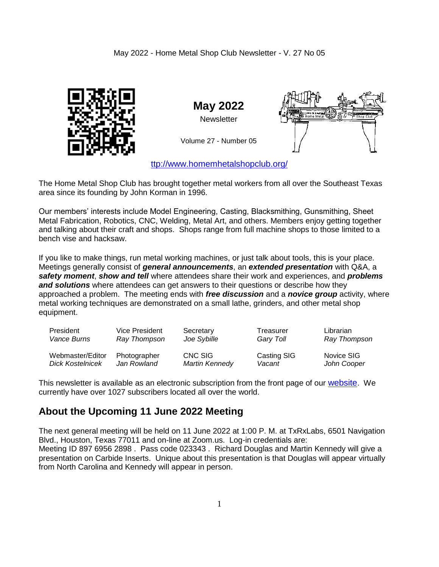#### May 2022 - Home Metal Shop Club Newsletter - V. 27 No 05



**May 2022 Newsletter** 

Volume 27 - Number 05

[ttp://www.homemhetalshopclub.org/](http://www.homemetalshopclub.org/)

The Home Metal Shop Club has brought together metal workers from all over the Southeast Texas area since its founding by John Korman in 1996.

Our members' interests include Model Engineering, Casting, Blacksmithing, Gunsmithing, Sheet Metal Fabrication, Robotics, CNC, Welding, Metal Art, and others. Members enjoy getting together and talking about their craft and shops. Shops range from full machine shops to those limited to a bench vise and hacksaw.

If you like to make things, run metal working machines, or just talk about tools, this is your place. Meetings generally consist of *general announcements*, an *extended presentation* with Q&A, a *safety moment*, *show and tell* where attendees share their work and experiences, and *problems and solutions* where attendees can get answers to their questions or describe how they approached a problem. The meeting ends with *free discussion* and a *novice group* activity, where metal working techniques are demonstrated on a small lathe, grinders, and other metal shop equipment.

| President               | Vice President | Secretary             | Treasurer   | Librarian    |
|-------------------------|----------------|-----------------------|-------------|--------------|
| Vance Burns             | Ray Thompson   | Joe Sybille           | Gary Toll   | Ray Thompson |
| Webmaster/Editor        | Photographer   | CNC SIG               | Casting SIG | Novice SIG   |
| <b>Dick Kostelnicek</b> | Jan Rowland    | <b>Martin Kennedy</b> | Vacant      | John Cooper  |

This newsletter is available as an electronic subscription from the front page of our [website](http://www.homemetalshopclub.org/). We currently have over 1027 subscribers located all over the world.

# **About the Upcoming 11 June 2022 Meeting**

The next general meeting will be held on 11 June 2022 at 1:00 P. M. at TxRxLabs, 6501 Navigation Blvd., Houston, Texas 77011 and on-line at Zoom.us. Log-in credentials are: Meeting ID 897 6956 2898 . Pass code 023343 . Richard Douglas and Martin Kennedy will give a presentation on Carbide Inserts. Unique about this presentation is that Douglas will appear virtually from North Carolina and Kennedy will appear in person.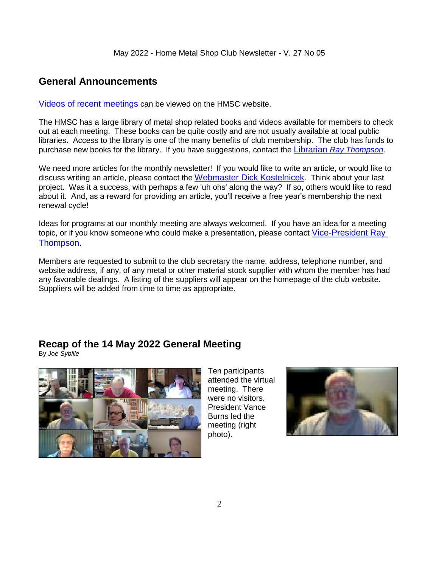### **General Announcements**

[Videos of recent meetings](http://www.homemetalshopclub.org/hints/videos/video.php) can be viewed on the HMSC website.

The HMSC has a large library of metal shop related books and videos available for members to check out at each meeting. These books can be quite costly and are not usually available at local public libraries. Access to the library is one of the many benefits of club membership. The club has funds to purchase new books for the library. If you have suggestions, contact the [Librarian](mailto:librarian@homemetalshopclub.org) *Ray Thompson*.

We need more articles for the monthly newsletter! If you would like to write an article, or would like to discuss writing an article, please contact the [Webmaster Dick Kostelnicek](mailto:webmaster@homemetalshopclub.org). Think about your last project. Was it a success, with perhaps a few 'uh ohs' along the way? If so, others would like to read about it. And, as a reward for providing an article, you'll receive a free year's membership the next renewal cycle!

Ideas for programs at our monthly meeting are always welcomed. If you have an idea for a meeting topic, or if you know someone who could make a presentation, please contact [Vice-President Ray](mailto:vpresident@homemetalshopclub.org)  [Thompson.](mailto:vpresident@homemetalshopclub.org)

Members are requested to submit to the club secretary the name, address, telephone number, and website address, if any, of any metal or other material stock supplier with whom the member has had any favorable dealings. A listing of the suppliers will appear on the homepage of the club website. Suppliers will be added from time to time as appropriate.

# **Recap of the 14 May 2022 General Meeting**

By *Joe Sybille*



Ten participants attended the virtual meeting. There were no visitors. President Vance Burns led the meeting (right photo).

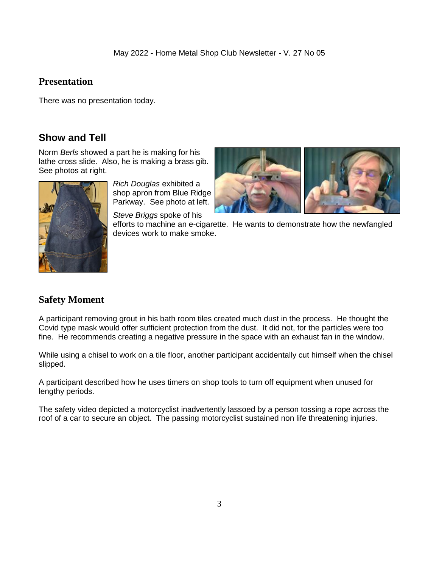#### **Presentation**

There was no presentation today.

# **Show and Tell**

Norm *Berls* showed a part he is making for his lathe cross slide. Also, he is making a brass gib. See photos at right.



*Rich Douglas* exhibited a shop apron from Blue Ridge Parkway. See photo at left.

*Steve Briggs* spoke of his



efforts to machine an e-cigarette. He wants to demonstrate how the newfangled devices work to make smoke.

# **Safety Moment**

A participant removing grout in his bath room tiles created much dust in the process. He thought the Covid type mask would offer sufficient protection from the dust. It did not, for the particles were too fine. He recommends creating a negative pressure in the space with an exhaust fan in the window.

While using a chisel to work on a tile floor, another participant accidentally cut himself when the chisel slipped.

A participant described how he uses timers on shop tools to turn off equipment when unused for lengthy periods.

The safety video depicted a motorcyclist inadvertently lassoed by a person tossing a rope across the roof of a car to secure an object. The passing motorcyclist sustained non life threatening injuries.